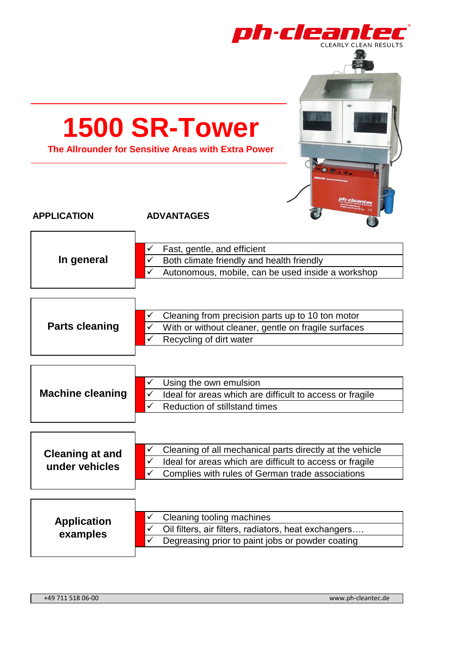| ph·cleantec<br>CLEARLY CLEAN RESULTS<br><b>1500 SR-Tower</b><br>The Allrounder for Sensitive Areas with Extra Power |                                                                                                                                                                                         |  |
|---------------------------------------------------------------------------------------------------------------------|-----------------------------------------------------------------------------------------------------------------------------------------------------------------------------------------|--|
| <b>APPLICATION</b>                                                                                                  | <b>ADVANTAGES</b>                                                                                                                                                                       |  |
| In general                                                                                                          | Fast, gentle, and efficient<br>Both climate friendly and health friendly<br>$\checkmark$<br>Autonomous, mobile, can be used inside a workshop<br>✓                                      |  |
| <b>Parts cleaning</b>                                                                                               | Cleaning from precision parts up to 10 ton motor<br>✓<br>With or without cleaner, gentle on fragile surfaces<br>✓<br>Recycling of dirt water<br>$\checkmark$                            |  |
| <b>Machine cleaning</b>                                                                                             | Using the own emulsion<br>✓<br>Ideal for areas which are difficult to access or fragile<br>$\checkmark$<br>$\checkmark$<br>Reduction of stillstand times                                |  |
| <b>Cleaning at and</b><br>under vehicles                                                                            | Cleaning of all mechanical parts directly at the vehicle<br>✓<br>Ideal for areas which are difficult to access or fragile<br>✓<br>Complies with rules of German trade associations<br>✓ |  |
| <b>Application</b><br>examples                                                                                      | Cleaning tooling machines<br>✓<br>Oil filters, air filters, radiators, heat exchangers<br>$\checkmark$<br>$\checkmark$<br>Degreasing prior to paint jobs or powder coating              |  |